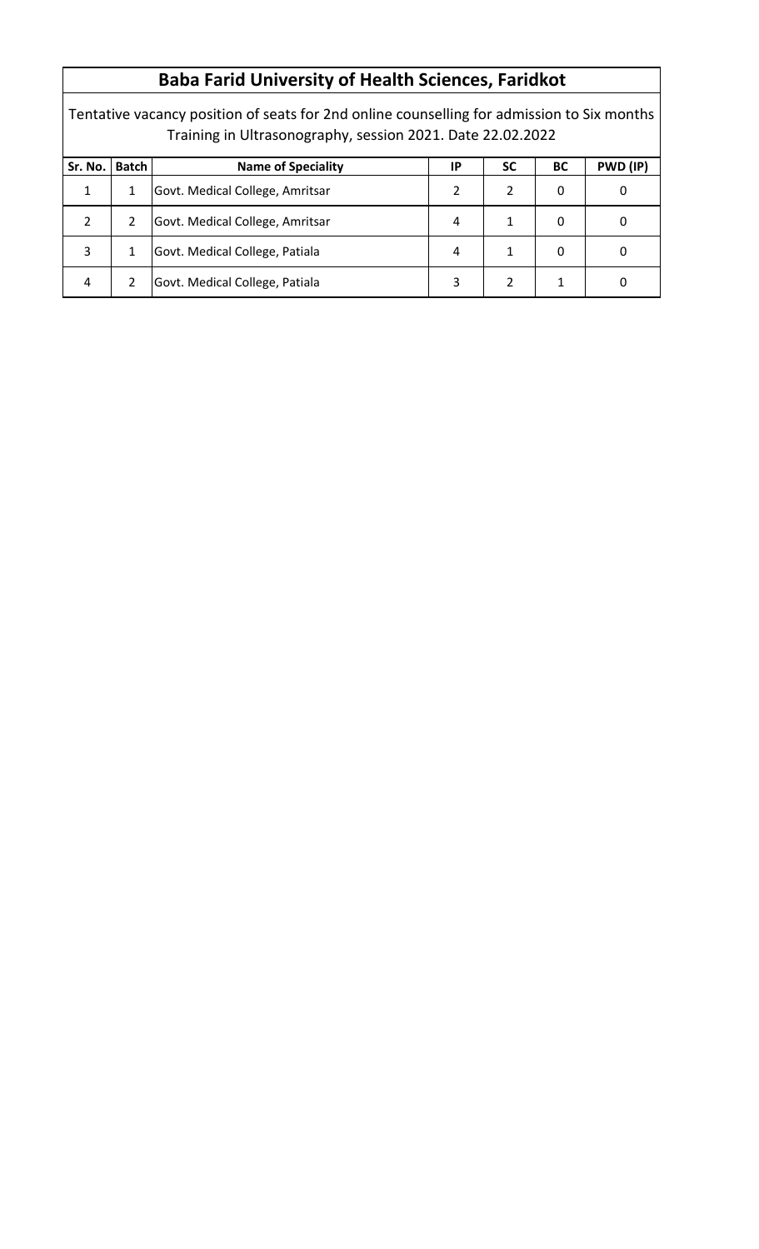## **Baba Farid University of Health Sciences, Faridkot**

Tentative vacancy position of seats for 2nd online counselling for admission to Six months Training in Ultrasonography, session 2021. Date 22.02.2022

| Sr. No.      | <b>Batch</b> | <b>Name of Speciality</b>       | ΙP | <b>SC</b> | BC | PWD (IP) |
|--------------|--------------|---------------------------------|----|-----------|----|----------|
| $\mathbf{1}$ |              | Govt. Medical College, Amritsar |    |           | 0  |          |
| 2            |              | Govt. Medical College, Amritsar | 4  |           | O  |          |
| 3            |              | Govt. Medical College, Patiala  | 4  |           | 0  |          |
| 4            |              | Govt. Medical College, Patiala  | 3  |           |    |          |